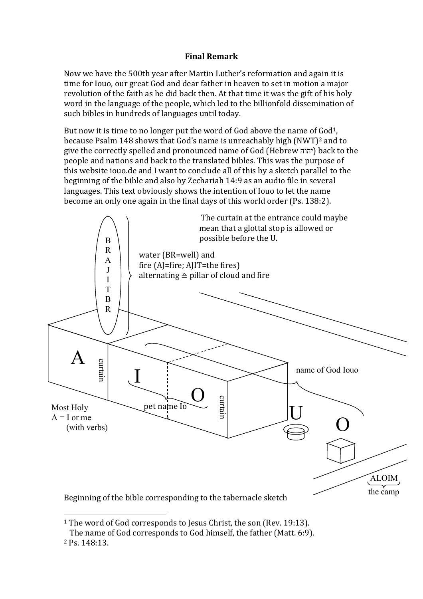# **Final Remark**

Now we have the 500th year after Martin Luther's reformation and again it is time for Iouo, our great God and dear father in heaven to set in motion a major revolution of the faith as he did back then. At that time it was the gift of his holy word in the language of the people, which led to the billionfold dissemination of such bibles in hundreds of languages until today.

But now it is time to no longer put the word of God above the name of God<sup>1</sup>, because Psalm 148 shows that God's name is unreachably high (NWT)2 and to give the correctly spelled and pronounced name of God (Hebrew יהוה (back to the people and nations and back to the translated bibles. This was the purpose of this website iouo.de and I want to conclude all of this by a sketch parallel to the beginning of the bible and also by Zechariah 14:9 as an audio file in several languages. This text obviously shows the intention of Iouo to let the name become an only one again in the final days of this world order (Ps. 138:2).



 $\overline{a}$ <sup>1</sup> The word of God corresponds to Jesus Christ, the son (Rev. 19:13).

The name of God corresponds to God himself, the father (Matt. 6:9).

<sup>2</sup> Ps. 148:13.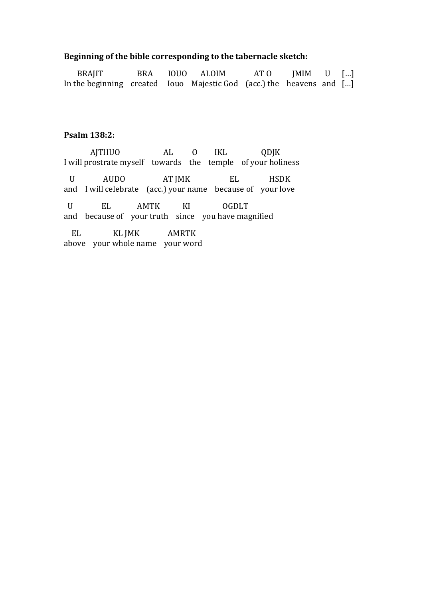# **Beginning of the bible corresponding to the tabernacle sketch:**

| BRAJIT                                                               |  | BRA IOUO ALOIM | $ATO$ JMIM U [] |  |
|----------------------------------------------------------------------|--|----------------|-----------------|--|
| In the beginning created Iouo Majestic God (acc.) the heavens and [] |  |                |                 |  |

# **Psalm 138:2:**

 AJTHUO AL O IKL QDJK I will prostrate myself towards the temple of your holiness U AUDO AT JMK EL HSDK and I will celebrate (acc.) your name because of your love U EL AMTK KI OGDLT and because of your truth since you have magnified EL KL JMK AMRTK above your whole name your word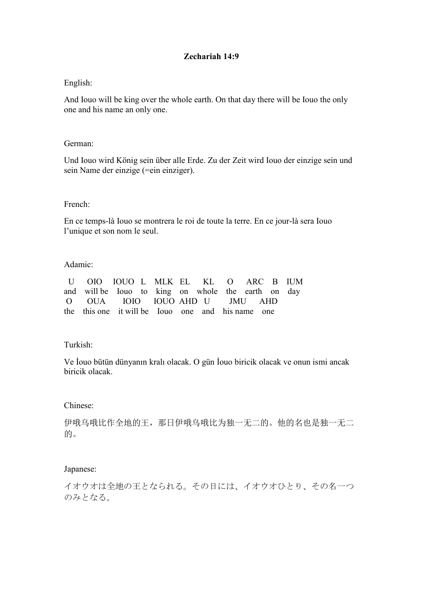# **Zechariah 14:9**

# English:

And Iouo will be king over the whole earth. On that day there will be Iouo the only one and his name an only one.

## German:

Und Iouo wird König sein über alle Erde. Zu der Zeit wird Iouo der einzige sein und sein Name der einzige (=ein einziger).

#### French:

En ce temps-là Iouo se montrera le roi de toute la terre. En ce jour-là sera Iouo l'unique et son nom le seul.

## Adamic:

| U OIO IOUO L MLK EL KL O ARC B IUM                 |  |  |  |  |  |
|----------------------------------------------------|--|--|--|--|--|
| and will be Iouo to king on whole the earth on day |  |  |  |  |  |
| O OUA IOIO IOUO AHD U JMU AHD                      |  |  |  |  |  |
| the this one it will be Iou one and his name one   |  |  |  |  |  |

# Turkish:

Ve İouo bütün dünyanın kralı olacak. O gün İouo biricik olacak ve onun ismi ancak biricik olacak.

#### Chinese:

伊哦乌哦比作全地的王,那日伊哦乌哦比为独一无二的。他的名也是独一无二 的。

# Japanese:

イオウオは全地の王となられる。その日には、イオウオひとり、その名一つ のみとなる。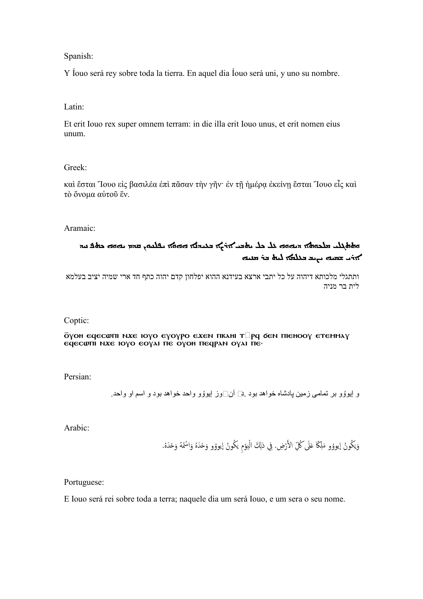Spanish:

Y Íouo será rey sobre toda la tierra. En aquel dia Íouo será uni, y uno su nombre.

Latin:

Et erit Iouo rex super omnem terram: in die illa erit Iouo unus, et erit nomen eius unum.

Greek:

καὶ ἔσται Ἴουο εἰς βασιλέα ἐπὶ πᾶσαν τὴν γῆν· ἐν τῇ ἡμέρᾳ ἐκείνῃ ἔσται Ἴουο εἷς καὶ τὸ ὄνομα αὐτοῦ ἕν.

Aramaic:

# הלאך הקול שמש שמש לא כל האבר איל אי האיט אי האיט איי שמשה מאפ הא  $\lambda$  باب تسلم سابع مسلم مسلم منه المسلم لله لله مسلم  $\lambda$

ותתגלי מלכותא דיהוה כל על יתבי ארצא בעידנא ההוא יפלחון קדם יהוה כתף חד ארי שמיה יציב בעלמא לית בר מניה

Coptic:

#### ōyoh eqecwfii n.xe ioyo eyoypo e.xen fikahi t $\Box$ pq 6en fiiehooy etemmay  $\epsilon$ q $\epsilon$ cwni nx $\epsilon$  ioyo  $\epsilon$ oyai n $\epsilon$  oyoh neqpan oyai ne.

Persian:

و إيوؤو بر تمامی زمين پادشاه خواهد بود .ه] آن□وز إيوؤو واحد خواهد بود و اسم او واحد .

Arabic:

وَيَكُونُ إيووُو مَلِكًا عَلَى كُلِّ الأَرْضِ. فِي ذلِكَ الْيَوْمِ يَكُونُ إيووُو وَحْدَهُ وَاسْمُهُ وَحْدَهُ.  $\ddot{\phantom{0}}$  $\frac{1}{2}$  $\tilde{\cdot}$ ِ ی ْ َ

Portuguese:

E Iouo será rei sobre toda a terra; naquele dia um será Iouo, e um sera o seu nome.